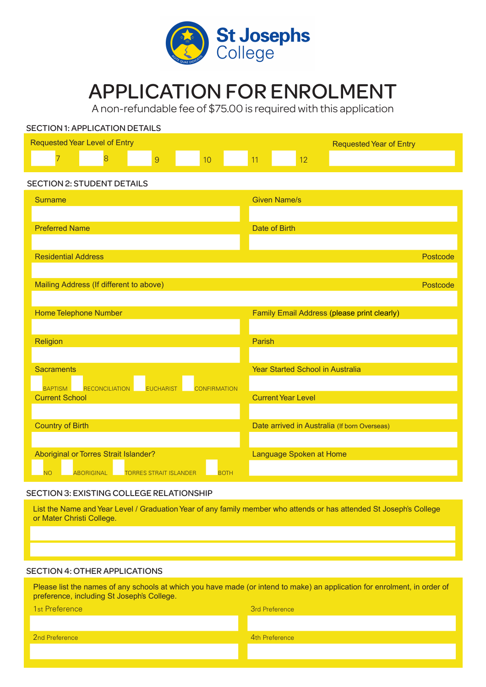

## APPLICATION FOR ENROLMENT

A non-refundable fee of \$75.00 is required with this application

| <b>SECTION 1: APPLICATION DETAILS</b>                                              |                                              |
|------------------------------------------------------------------------------------|----------------------------------------------|
| <b>Requested Year Level of Entry</b>                                               | <b>Requested Year of Entry</b>               |
| 8<br>9<br>10<br>7                                                                  | 12<br>11                                     |
|                                                                                    |                                              |
| <b>SECTION 2: STUDENT DETAILS</b>                                                  |                                              |
| <b>Surname</b>                                                                     | <b>Given Name/s</b>                          |
|                                                                                    |                                              |
| <b>Preferred Name</b>                                                              | Date of Birth                                |
|                                                                                    |                                              |
| <b>Residential Address</b>                                                         | Postcode                                     |
|                                                                                    |                                              |
| Mailing Address (If different to above)                                            | Postcode                                     |
|                                                                                    |                                              |
| <b>Home Telephone Number</b>                                                       | Family Email Address (please print clearly)  |
|                                                                                    |                                              |
| Religion                                                                           | Parish                                       |
|                                                                                    |                                              |
| <b>Sacraments</b>                                                                  | <b>Year Started School in Australia</b>      |
| <b>BAPTISM</b><br><b>RECONCILIATION</b><br><b>EUCHARIST</b><br><b>CONFIRMATION</b> |                                              |
| <b>Current School</b>                                                              | <b>Current Year Level</b>                    |
|                                                                                    |                                              |
| <b>Country of Birth</b>                                                            | Date arrived in Australia (If born Overseas) |
|                                                                                    |                                              |
| Aboriginal or Torres Strait Islander?                                              | Language Spoken at Home                      |
| ABORIGINAL <b>TORRES STRAIT ISLANDER</b><br><b>NO</b><br><b>BOTH</b>               |                                              |

## SECTION 3: EXISTING COLLEGE RELATIONSHIP

List the Name and Year Level / Graduation Year of any family member who attends or has attended St Joseph's College or Mater Christi College.

## SECTION 4: OTHER APPLICATIONS

Please list the names of any schools at which you have made (or intend to make) an application for enrolment, in order of preference, including St Joseph's College.

**1st Preference** 3rd Preference 3rd Preference

**2nd Preference** 2th Preference 4th Preference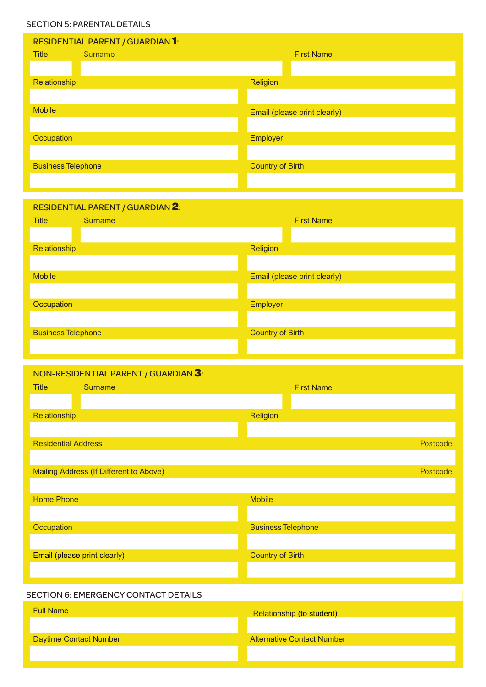## SECTION 5: PARENTAL DETAILS

| RESIDENTIAL PARENT / GUARDIAN 1: |         |                         |                              |
|----------------------------------|---------|-------------------------|------------------------------|
| <b>Title</b>                     | Surname |                         | <b>First Name</b>            |
|                                  |         |                         |                              |
| Relationship                     |         | Religion                |                              |
|                                  |         |                         |                              |
| <b>Mobile</b>                    |         |                         | Email (please print clearly) |
|                                  |         |                         |                              |
| Occupation                       |         | Employer                |                              |
|                                  |         |                         |                              |
| <b>Business Telephone</b>        |         | <b>Country of Birth</b> |                              |
|                                  |         |                         |                              |

| RESIDENTIAL PARENT / GUARDIAN 2: |         |                              |
|----------------------------------|---------|------------------------------|
| <b>Title</b>                     | Surname | <b>First Name</b>            |
|                                  |         |                              |
| Relationship                     |         | Religion                     |
|                                  |         |                              |
| <b>Mobile</b>                    |         | Email (please print clearly) |
|                                  |         |                              |
| Occupation                       |         | Employer                     |
|                                  |         |                              |
| <b>Business Telephone</b>        |         | <b>Country of Birth</b>      |
|                                  |         |                              |

| NON-RESIDENTIAL PARENT / GUARDIAN 3: |                                         |                                   |  |
|--------------------------------------|-----------------------------------------|-----------------------------------|--|
| <b>Title</b>                         | <b>Surname</b>                          | <b>First Name</b>                 |  |
|                                      |                                         |                                   |  |
| Relationship                         |                                         | Religion                          |  |
|                                      |                                         |                                   |  |
| <b>Residential Address</b>           |                                         | Postcode                          |  |
|                                      |                                         |                                   |  |
|                                      | Mailing Address (If Different to Above) | Postcode                          |  |
|                                      |                                         |                                   |  |
| <b>Home Phone</b>                    |                                         | <b>Mobile</b>                     |  |
|                                      |                                         |                                   |  |
| Occupation                           |                                         | <b>Business Telephone</b>         |  |
|                                      |                                         |                                   |  |
|                                      | Email (please print clearly)            | <b>Country of Birth</b>           |  |
|                                      |                                         |                                   |  |
|                                      |                                         |                                   |  |
|                                      | SECTION 6: EMERGENCY CONTACT DETAILS    |                                   |  |
| <b>Full Name</b>                     |                                         | Relationship (to student)         |  |
|                                      |                                         |                                   |  |
|                                      | <b>Daytime Contact Number</b>           | <b>Alternative Contact Number</b> |  |